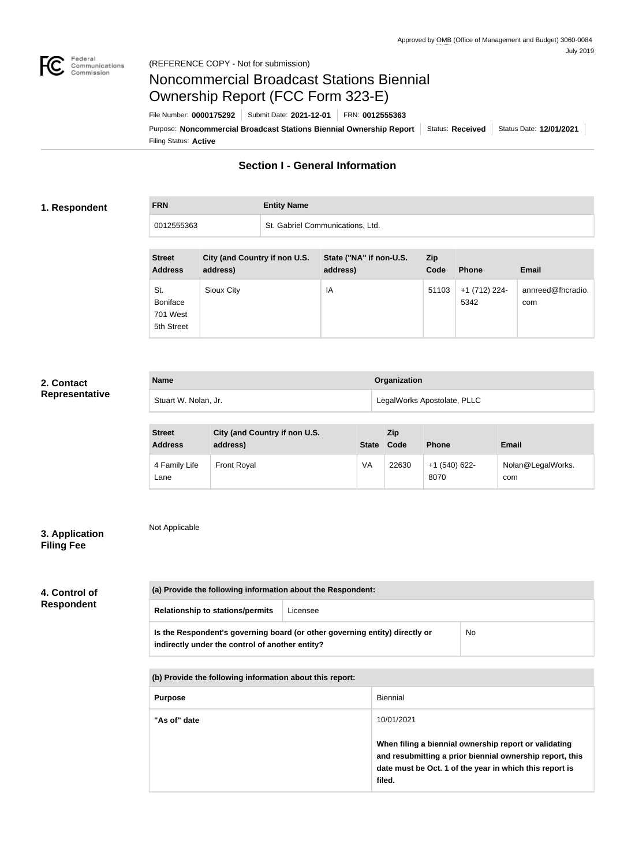

# Noncommercial Broadcast Stations Biennial Ownership Report (FCC Form 323-E)

Filing Status: **Active** Purpose: Noncommercial Broadcast Stations Biennial Ownership Report | Status: Received | Status Date: 12/01/2021 File Number: **0000175292** Submit Date: **2021-12-01** FRN: **0012555363**

## **Section I - General Information**

#### **1. Respondent**

**FRN Entity Name**

0012555363 St. Gabriel Communications, Ltd.

| <b>Street</b><br><b>Address</b>           | City (and Country if non U.S.<br>address) | State ("NA" if non-U.S.<br>address) | <b>Zip</b><br>Code | <b>Phone</b>          | <b>Email</b>             |
|-------------------------------------------|-------------------------------------------|-------------------------------------|--------------------|-----------------------|--------------------------|
| St.<br>Boniface<br>701 West<br>5th Street | Sioux City                                | IA                                  | 51103              | +1 (712) 224-<br>5342 | annreed@fhcradio.<br>com |

## **2. Contact Representative**

| <b>Name</b>          | Organization                |
|----------------------|-----------------------------|
| Stuart W. Nolan, Jr. | LegalWorks Apostolate, PLLC |

| <b>Street</b><br><b>Address</b> | City (and Country if non U.S.<br>address) | <b>State</b> | Zip<br>Code | <b>Phone</b>            | <b>Email</b>             |
|---------------------------------|-------------------------------------------|--------------|-------------|-------------------------|--------------------------|
| 4 Family Life<br>Lane           | <b>Front Royal</b>                        | VA           | 22630       | $+1$ (540) 622-<br>8070 | Nolan@LegalWorks.<br>com |

## **3. Application Filing Fee**

Not Applicable

# **4. Control of Respondent**

| (a) Provide the following information about the Respondent:                                                                    |          |           |
|--------------------------------------------------------------------------------------------------------------------------------|----------|-----------|
| <b>Relationship to stations/permits</b>                                                                                        | Licensee |           |
| Is the Respondent's governing board (or other governing entity) directly or<br>indirectly under the control of another entity? |          | <b>No</b> |

**(b) Provide the following information about this report:**

| <b>Purpose</b> | Biennial                                                                                                                                                                               |
|----------------|----------------------------------------------------------------------------------------------------------------------------------------------------------------------------------------|
| "As of" date   | 10/01/2021                                                                                                                                                                             |
|                | When filing a biennial ownership report or validating<br>and resubmitting a prior biennial ownership report, this<br>date must be Oct. 1 of the year in which this report is<br>filed. |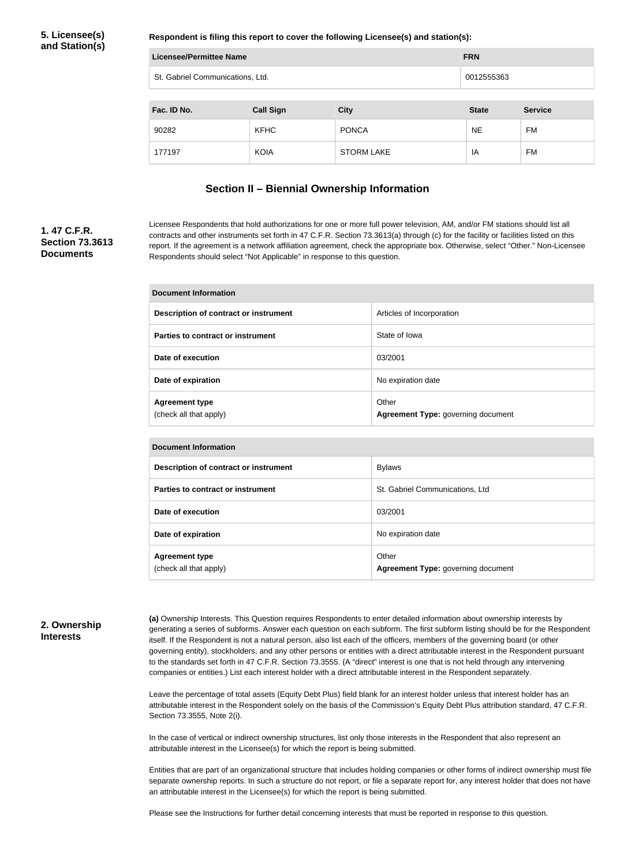**Respondent is filing this report to cover the following Licensee(s) and station(s):**

| Licensee/Permittee Name          |                  |                   | <b>FRN</b>   |                |
|----------------------------------|------------------|-------------------|--------------|----------------|
| St. Gabriel Communications, Ltd. |                  |                   | 0012555363   |                |
|                                  |                  |                   |              |                |
| Fac. ID No.                      | <b>Call Sign</b> | <b>City</b>       | <b>State</b> | <b>Service</b> |
| 90282                            | <b>KFHC</b>      | <b>PONCA</b>      | <b>NE</b>    | FM             |
| 177197                           | <b>KOIA</b>      | <b>STORM LAKE</b> | IA           | FM             |

### **Section II – Biennial Ownership Information**

### **1. 47 C.F.R. Section 73.3613 Documents**

Licensee Respondents that hold authorizations for one or more full power television, AM, and/or FM stations should list all contracts and other instruments set forth in 47 C.F.R. Section 73.3613(a) through (c) for the facility or facilities listed on this report. If the agreement is a network affiliation agreement, check the appropriate box. Otherwise, select "Other." Non-Licensee Respondents should select "Not Applicable" in response to this question.

| Document Information                            |                                             |  |
|-------------------------------------------------|---------------------------------------------|--|
| Description of contract or instrument           | Articles of Incorporation                   |  |
| Parties to contract or instrument               | State of Iowa                               |  |
| Date of execution                               | 03/2001                                     |  |
| Date of expiration                              | No expiration date                          |  |
| <b>Agreement type</b><br>(check all that apply) | Other<br>Agreement Type: governing document |  |

| <b>Document Information</b>                     |                                             |  |  |
|-------------------------------------------------|---------------------------------------------|--|--|
| Description of contract or instrument           | <b>Bylaws</b>                               |  |  |
| Parties to contract or instrument               | St. Gabriel Communications, Ltd             |  |  |
| Date of execution                               | 03/2001                                     |  |  |
| Date of expiration                              | No expiration date                          |  |  |
| <b>Agreement type</b><br>(check all that apply) | Other<br>Agreement Type: governing document |  |  |

#### **2. Ownership Interests**

**(a)** Ownership Interests. This Question requires Respondents to enter detailed information about ownership interests by generating a series of subforms. Answer each question on each subform. The first subform listing should be for the Respondent itself. If the Respondent is not a natural person, also list each of the officers, members of the governing board (or other governing entity), stockholders, and any other persons or entities with a direct attributable interest in the Respondent pursuant to the standards set forth in 47 C.F.R. Section 73.3555. (A "direct" interest is one that is not held through any intervening companies or entities.) List each interest holder with a direct attributable interest in the Respondent separately.

Leave the percentage of total assets (Equity Debt Plus) field blank for an interest holder unless that interest holder has an attributable interest in the Respondent solely on the basis of the Commission's Equity Debt Plus attribution standard, 47 C.F.R. Section 73.3555, Note 2(i).

In the case of vertical or indirect ownership structures, list only those interests in the Respondent that also represent an attributable interest in the Licensee(s) for which the report is being submitted.

Entities that are part of an organizational structure that includes holding companies or other forms of indirect ownership must file separate ownership reports. In such a structure do not report, or file a separate report for, any interest holder that does not have an attributable interest in the Licensee(s) for which the report is being submitted.

Please see the Instructions for further detail concerning interests that must be reported in response to this question.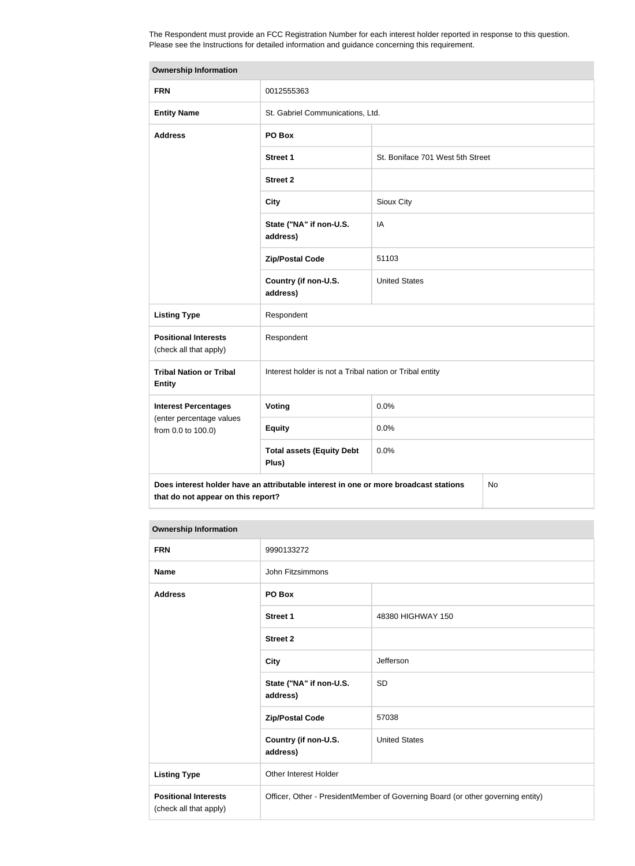The Respondent must provide an FCC Registration Number for each interest holder reported in response to this question. Please see the Instructions for detailed information and guidance concerning this requirement.

| <b>Ownership Information</b>                                                                                                     |                                                         |                                  |  |  |
|----------------------------------------------------------------------------------------------------------------------------------|---------------------------------------------------------|----------------------------------|--|--|
| <b>FRN</b>                                                                                                                       | 0012555363                                              |                                  |  |  |
| <b>Entity Name</b>                                                                                                               | St. Gabriel Communications, Ltd.                        |                                  |  |  |
| <b>Address</b>                                                                                                                   | PO Box                                                  |                                  |  |  |
|                                                                                                                                  | Street 1                                                | St. Boniface 701 West 5th Street |  |  |
|                                                                                                                                  | <b>Street 2</b>                                         |                                  |  |  |
|                                                                                                                                  | <b>City</b>                                             | Sioux City                       |  |  |
|                                                                                                                                  | State ("NA" if non-U.S.<br>address)                     | IA                               |  |  |
|                                                                                                                                  | <b>Zip/Postal Code</b>                                  | 51103                            |  |  |
|                                                                                                                                  | Country (if non-U.S.<br>address)                        | <b>United States</b>             |  |  |
| <b>Listing Type</b>                                                                                                              | Respondent                                              |                                  |  |  |
| <b>Positional Interests</b><br>Respondent<br>(check all that apply)                                                              |                                                         |                                  |  |  |
| <b>Tribal Nation or Tribal</b><br><b>Entity</b>                                                                                  | Interest holder is not a Tribal nation or Tribal entity |                                  |  |  |
| <b>Interest Percentages</b>                                                                                                      | Voting                                                  | 0.0%                             |  |  |
| (enter percentage values<br>from 0.0 to 100.0)                                                                                   | <b>Equity</b>                                           | 0.0%                             |  |  |
|                                                                                                                                  | <b>Total assets (Equity Debt</b><br>Plus)               | 0.0%                             |  |  |
| Does interest holder have an attributable interest in one or more broadcast stations<br>No<br>that do not appear on this report? |                                                         |                                  |  |  |

#### **Ownership Information**

| <b>FRN</b>                                            | 9990133272                                                                      |                      |  |
|-------------------------------------------------------|---------------------------------------------------------------------------------|----------------------|--|
| <b>Name</b>                                           | John Fitzsimmons                                                                |                      |  |
| <b>Address</b>                                        | PO Box                                                                          |                      |  |
|                                                       | <b>Street 1</b>                                                                 | 48380 HIGHWAY 150    |  |
|                                                       | <b>Street 2</b>                                                                 |                      |  |
|                                                       | <b>City</b>                                                                     | Jefferson            |  |
|                                                       | State ("NA" if non-U.S.<br>address)                                             | <b>SD</b>            |  |
|                                                       | <b>Zip/Postal Code</b>                                                          | 57038                |  |
|                                                       | Country (if non-U.S.<br>address)                                                | <b>United States</b> |  |
| <b>Listing Type</b>                                   | Other Interest Holder                                                           |                      |  |
| <b>Positional Interests</b><br>(check all that apply) | Officer, Other - PresidentMember of Governing Board (or other governing entity) |                      |  |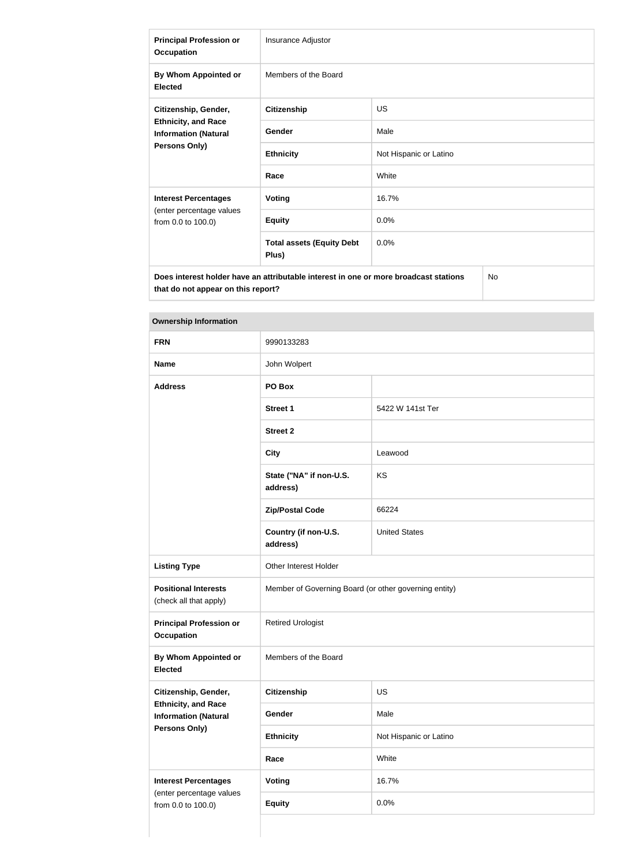| <b>Principal Profession or</b><br><b>Occupation</b>                                               | Insurance Adjustor                        |                        |  |
|---------------------------------------------------------------------------------------------------|-------------------------------------------|------------------------|--|
| By Whom Appointed or<br><b>Elected</b>                                                            | Members of the Board                      |                        |  |
| Citizenship, Gender,                                                                              | <b>Citizenship</b>                        | <b>US</b>              |  |
| <b>Ethnicity, and Race</b><br><b>Information (Natural</b>                                         | Gender                                    | Male                   |  |
| Persons Only)                                                                                     | <b>Ethnicity</b>                          | Not Hispanic or Latino |  |
|                                                                                                   | Race                                      | White                  |  |
| <b>Interest Percentages</b>                                                                       | <b>Voting</b>                             | 16.7%                  |  |
| (enter percentage values<br>from 0.0 to 100.0)                                                    | <b>Equity</b>                             | 0.0%                   |  |
|                                                                                                   | <b>Total assets (Equity Debt</b><br>Plus) | 0.0%                   |  |
| Does interest holder have an attributable interest in one or more broadcast stations<br><b>No</b> |                                           |                        |  |

**Ownership Information**

**that do not appear on this report?**

| <b>FRN</b>                                                | 9990133283                                            |                        |  |
|-----------------------------------------------------------|-------------------------------------------------------|------------------------|--|
| <b>Name</b>                                               | John Wolpert                                          |                        |  |
| <b>Address</b>                                            | PO Box                                                |                        |  |
|                                                           | <b>Street 1</b>                                       | 5422 W 141st Ter       |  |
|                                                           | <b>Street 2</b>                                       |                        |  |
|                                                           | <b>City</b>                                           | Leawood                |  |
|                                                           | State ("NA" if non-U.S.<br>address)                   | KS                     |  |
|                                                           | <b>Zip/Postal Code</b>                                | 66224                  |  |
|                                                           | Country (if non-U.S.<br>address)                      | <b>United States</b>   |  |
| <b>Listing Type</b>                                       | Other Interest Holder                                 |                        |  |
| <b>Positional Interests</b><br>(check all that apply)     | Member of Governing Board (or other governing entity) |                        |  |
| <b>Principal Profession or</b><br><b>Occupation</b>       | <b>Retired Urologist</b>                              |                        |  |
| <b>By Whom Appointed or</b><br><b>Elected</b>             | Members of the Board                                  |                        |  |
| Citizenship, Gender,                                      | Citizenship                                           | US                     |  |
| <b>Ethnicity, and Race</b><br><b>Information (Natural</b> | Gender                                                | Male                   |  |
| Persons Only)                                             | <b>Ethnicity</b>                                      | Not Hispanic or Latino |  |
|                                                           | Race                                                  | White                  |  |
| <b>Interest Percentages</b>                               | <b>Voting</b>                                         | 16.7%                  |  |
| (enter percentage values<br>from 0.0 to 100.0)            | <b>Equity</b>                                         | 0.0%                   |  |
|                                                           |                                                       |                        |  |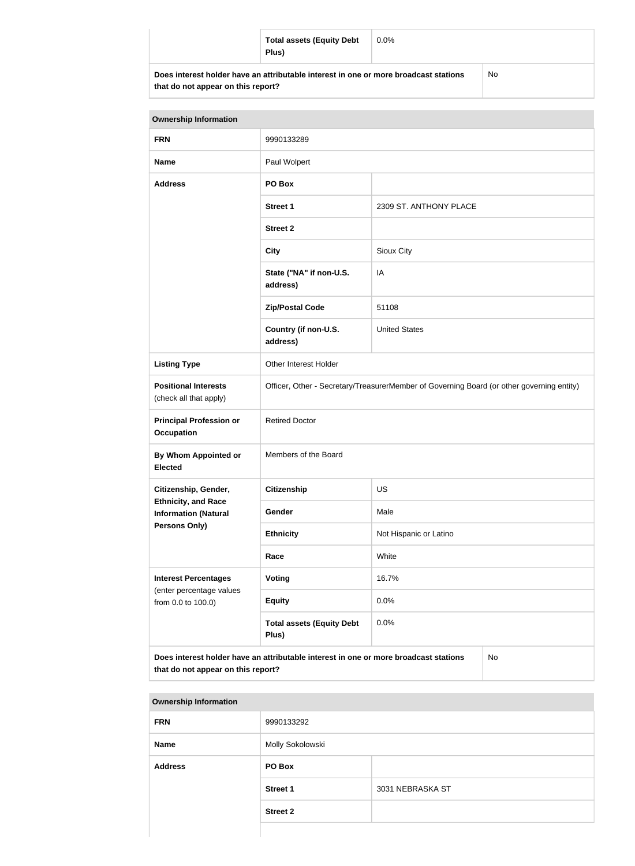| <b>Total assets (Equity Debt</b><br>Plus)                                            | $0.0\%$ |           |
|--------------------------------------------------------------------------------------|---------|-----------|
| Does interest holder have an attributable interest in one or more broadcast stations |         | <b>No</b> |

| that do not appear on this report? |
|------------------------------------|
|------------------------------------|

No

| <b>Ownership Information</b>                                                                                                     |                                                                                           |                        |  |
|----------------------------------------------------------------------------------------------------------------------------------|-------------------------------------------------------------------------------------------|------------------------|--|
| <b>FRN</b>                                                                                                                       | 9990133289                                                                                |                        |  |
| <b>Name</b>                                                                                                                      | Paul Wolpert                                                                              |                        |  |
| <b>Address</b>                                                                                                                   | PO Box                                                                                    |                        |  |
|                                                                                                                                  | <b>Street 1</b>                                                                           | 2309 ST. ANTHONY PLACE |  |
|                                                                                                                                  | <b>Street 2</b>                                                                           |                        |  |
|                                                                                                                                  | <b>City</b>                                                                               | Sioux City             |  |
|                                                                                                                                  | State ("NA" if non-U.S.<br>address)                                                       | IA                     |  |
|                                                                                                                                  | <b>Zip/Postal Code</b>                                                                    | 51108                  |  |
|                                                                                                                                  | Country (if non-U.S.<br>address)                                                          | <b>United States</b>   |  |
| <b>Listing Type</b>                                                                                                              | Other Interest Holder                                                                     |                        |  |
| <b>Positional Interests</b><br>(check all that apply)                                                                            | Officer, Other - Secretary/TreasurerMember of Governing Board (or other governing entity) |                        |  |
| <b>Principal Profession or</b><br><b>Occupation</b>                                                                              | <b>Retired Doctor</b>                                                                     |                        |  |
| <b>By Whom Appointed or</b><br><b>Elected</b>                                                                                    | Members of the Board                                                                      |                        |  |
| Citizenship, Gender,                                                                                                             | <b>Citizenship</b>                                                                        | <b>US</b>              |  |
| <b>Ethnicity, and Race</b><br><b>Information (Natural</b>                                                                        | Gender                                                                                    | Male                   |  |
| Persons Only)                                                                                                                    | <b>Ethnicity</b>                                                                          | Not Hispanic or Latino |  |
|                                                                                                                                  | Race                                                                                      | White                  |  |
| <b>Interest Percentages</b>                                                                                                      | Voting                                                                                    | 16.7%                  |  |
| (enter percentage values<br>from 0.0 to 100.0)                                                                                   | <b>Equity</b>                                                                             | 0.0%                   |  |
|                                                                                                                                  | <b>Total assets (Equity Debt</b><br>Plus)                                                 | 0.0%                   |  |
| Does interest holder have an attributable interest in one or more broadcast stations<br>No<br>that do not appear on this report? |                                                                                           |                        |  |

| <b>Ownership Information</b> |                  |                  |
|------------------------------|------------------|------------------|
| <b>FRN</b>                   | 9990133292       |                  |
| <b>Name</b>                  | Molly Sokolowski |                  |
| <b>Address</b>               | PO Box           |                  |
|                              | <b>Street 1</b>  | 3031 NEBRASKA ST |
|                              | <b>Street 2</b>  |                  |
|                              |                  |                  |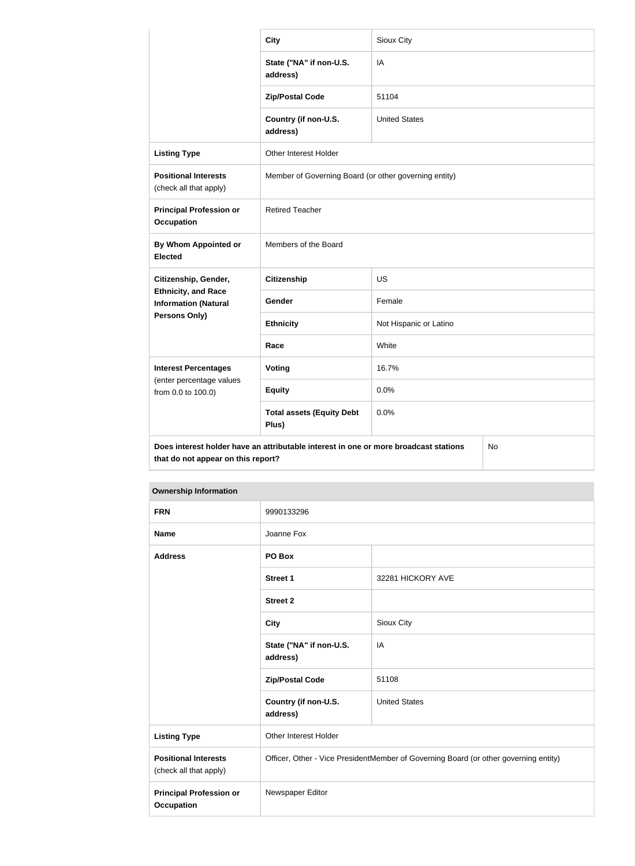|                                                                                                                                  | <b>City</b>                                           | Sioux City             |  |
|----------------------------------------------------------------------------------------------------------------------------------|-------------------------------------------------------|------------------------|--|
|                                                                                                                                  | State ("NA" if non-U.S.<br>address)                   | IA                     |  |
|                                                                                                                                  | <b>Zip/Postal Code</b>                                | 51104                  |  |
|                                                                                                                                  | Country (if non-U.S.<br>address)                      | <b>United States</b>   |  |
| <b>Listing Type</b>                                                                                                              | Other Interest Holder                                 |                        |  |
| <b>Positional Interests</b><br>(check all that apply)                                                                            | Member of Governing Board (or other governing entity) |                        |  |
| <b>Principal Profession or</b><br><b>Occupation</b>                                                                              | <b>Retired Teacher</b>                                |                        |  |
| By Whom Appointed or<br><b>Elected</b>                                                                                           | Members of the Board                                  |                        |  |
| Citizenship, Gender,<br><b>Ethnicity, and Race</b><br><b>Information (Natural</b>                                                | <b>Citizenship</b>                                    | <b>US</b>              |  |
|                                                                                                                                  | Gender                                                | Female                 |  |
| Persons Only)                                                                                                                    | <b>Ethnicity</b>                                      | Not Hispanic or Latino |  |
|                                                                                                                                  | Race                                                  | White                  |  |
| <b>Interest Percentages</b>                                                                                                      | <b>Voting</b>                                         | 16.7%                  |  |
| (enter percentage values<br>from 0.0 to 100.0)                                                                                   | <b>Equity</b>                                         | 0.0%                   |  |
|                                                                                                                                  | <b>Total assets (Equity Debt</b><br>Plus)             | 0.0%                   |  |
| Does interest holder have an attributable interest in one or more broadcast stations<br>No<br>that do not appear on this report? |                                                       |                        |  |

| <b>Ownership Information</b>                          |                                                                                      |                      |
|-------------------------------------------------------|--------------------------------------------------------------------------------------|----------------------|
| <b>FRN</b>                                            | 9990133296                                                                           |                      |
| <b>Name</b>                                           | Joanne Fox                                                                           |                      |
| <b>Address</b>                                        | PO Box                                                                               |                      |
|                                                       | <b>Street 1</b>                                                                      | 32281 HICKORY AVE    |
|                                                       | <b>Street 2</b>                                                                      |                      |
|                                                       | <b>City</b>                                                                          | Sioux City           |
|                                                       | State ("NA" if non-U.S.<br>address)                                                  | IA                   |
|                                                       | <b>Zip/Postal Code</b>                                                               | 51108                |
|                                                       | Country (if non-U.S.<br>address)                                                     | <b>United States</b> |
| <b>Listing Type</b>                                   | Other Interest Holder                                                                |                      |
| <b>Positional Interests</b><br>(check all that apply) | Officer, Other - Vice PresidentMember of Governing Board (or other governing entity) |                      |
| <b>Principal Profession or</b><br><b>Occupation</b>   | Newspaper Editor                                                                     |                      |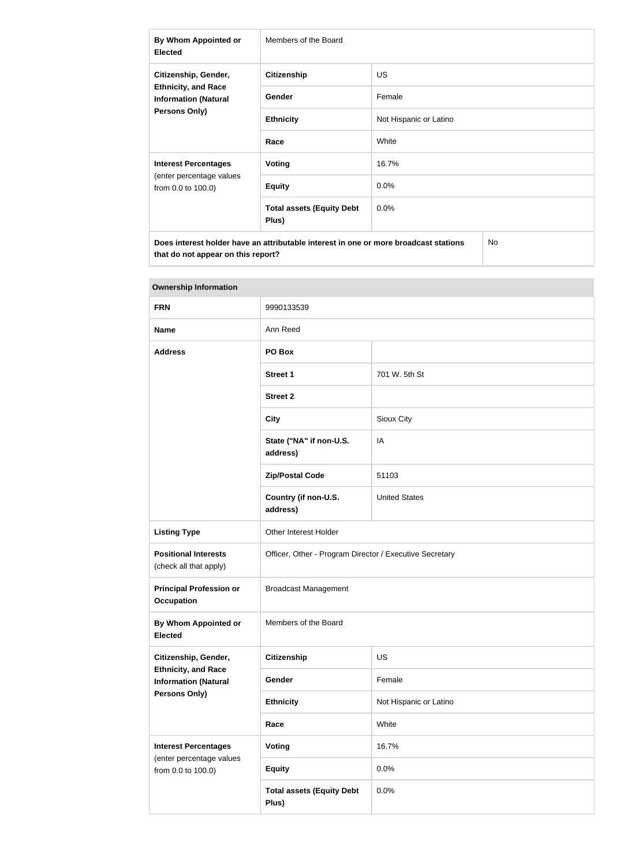| By Whom Appointed or<br><b>Elected</b>                                                                    | Members of the Board                      |                        |
|-----------------------------------------------------------------------------------------------------------|-------------------------------------------|------------------------|
| Citizenship, Gender,<br><b>Ethnicity, and Race</b><br><b>Information (Natural</b><br><b>Persons Only)</b> | <b>Citizenship</b>                        | <b>US</b>              |
|                                                                                                           | <b>Gender</b>                             | Female                 |
|                                                                                                           | <b>Ethnicity</b>                          | Not Hispanic or Latino |
|                                                                                                           | Race                                      | White                  |
| <b>Interest Percentages</b><br>(enter percentage values<br>from 0.0 to 100.0)                             | Voting                                    | 16.7%                  |
|                                                                                                           | <b>Equity</b>                             | $0.0\%$                |
|                                                                                                           | <b>Total assets (Equity Debt</b><br>Plus) | $0.0\%$                |
| Does interest holder have an attributable interest in one or more broadcast stations<br><b>No</b>         |                                           |                        |

| <b>Ownership Information</b>                                                                       |                                                         |                        |  |
|----------------------------------------------------------------------------------------------------|---------------------------------------------------------|------------------------|--|
| <b>FRN</b>                                                                                         | 9990133539                                              |                        |  |
| <b>Name</b>                                                                                        | Ann Reed                                                |                        |  |
| <b>Address</b>                                                                                     | PO Box                                                  |                        |  |
|                                                                                                    | <b>Street 1</b>                                         | 701 W. 5th St          |  |
|                                                                                                    | <b>Street 2</b>                                         |                        |  |
|                                                                                                    | <b>City</b>                                             | Sioux City             |  |
|                                                                                                    | State ("NA" if non-U.S.<br>address)                     | IA                     |  |
|                                                                                                    | <b>Zip/Postal Code</b>                                  | 51103                  |  |
|                                                                                                    | Country (if non-U.S.<br>address)                        | <b>United States</b>   |  |
| <b>Listing Type</b>                                                                                | Other Interest Holder                                   |                        |  |
| <b>Positional Interests</b><br>(check all that apply)                                              | Officer, Other - Program Director / Executive Secretary |                        |  |
| <b>Principal Profession or</b><br><b>Occupation</b>                                                | <b>Broadcast Management</b>                             |                        |  |
| <b>By Whom Appointed or</b><br><b>Elected</b>                                                      | Members of the Board                                    |                        |  |
| Citizenship, Gender,<br><b>Ethnicity, and Race</b><br><b>Information (Natural</b><br>Persons Only) | <b>Citizenship</b>                                      | <b>US</b>              |  |
|                                                                                                    | Gender                                                  | Female                 |  |
|                                                                                                    | <b>Ethnicity</b>                                        | Not Hispanic or Latino |  |
|                                                                                                    | Race                                                    | White                  |  |
| <b>Interest Percentages</b>                                                                        | Voting                                                  | 16.7%                  |  |
| (enter percentage values<br>from 0.0 to 100.0)                                                     | <b>Equity</b>                                           | 0.0%                   |  |
|                                                                                                    | <b>Total assets (Equity Debt</b><br>Plus)               | 0.0%                   |  |

# **Tara**

**that do not appear on this report?**